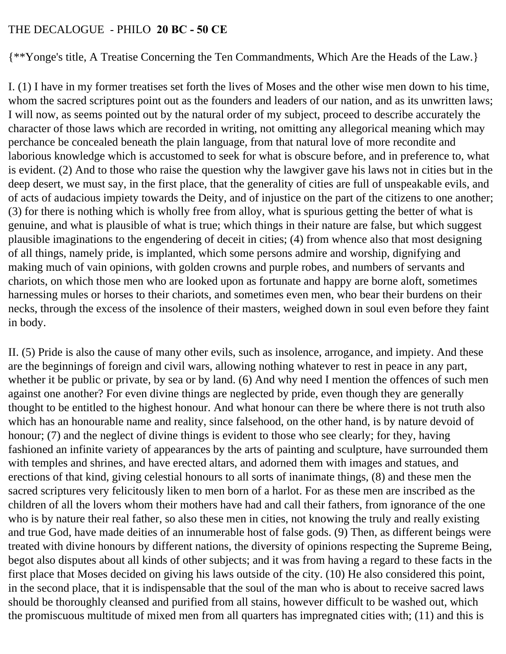## THE DECALOGUE PHILO **20 BC 50 CE**

{\*\*Yonge's title, A Treatise Concerning the Ten Commandments, Which Are the Heads of the Law.}

I. (1) I have in my former treatises set forth the lives of Moses and the other wise men down to his time, whom the sacred scriptures point out as the founders and leaders of our nation, and as its unwritten laws; I will now, as seems pointed out by the natural order of my subject, proceed to describe accurately the character of those laws which are recorded in writing, not omitting any allegorical meaning which may perchance be concealed beneath the plain language, from that natural love of more recondite and laborious knowledge which is accustomed to seek for what is obscure before, and in preference to, what is evident. (2) And to those who raise the question why the lawgiver gave his laws not in cities but in the deep desert, we must say, in the first place, that the generality of cities are full of unspeakable evils, and of acts of audacious impiety towards the Deity, and of injustice on the part of the citizens to one another; (3) for there is nothing which is wholly free from alloy, what is spurious getting the better of what is genuine, and what is plausible of what is true; which things in their nature are false, but which suggest plausible imaginations to the engendering of deceit in cities; (4) from whence also that most designing of all things, namely pride, is implanted, which some persons admire and worship, dignifying and making much of vain opinions, with golden crowns and purple robes, and numbers of servants and chariots, on which those men who are looked upon as fortunate and happy are borne aloft, sometimes harnessing mules or horses to their chariots, and sometimes even men, who bear their burdens on their necks, through the excess of the insolence of their masters, weighed down in soul even before they faint in body.

II. (5) Pride is also the cause of many other evils, such as insolence, arrogance, and impiety. And these are the beginnings of foreign and civil wars, allowing nothing whatever to rest in peace in any part, whether it be public or private, by sea or by land. (6) And why need I mention the offences of such men against one another? For even divine things are neglected by pride, even though they are generally thought to be entitled to the highest honour. And what honour can there be where there is not truth also which has an honourable name and reality, since falsehood, on the other hand, is by nature devoid of honour; (7) and the neglect of divine things is evident to those who see clearly; for they, having fashioned an infinite variety of appearances by the arts of painting and sculpture, have surrounded them with temples and shrines, and have erected altars, and adorned them with images and statues, and erections of that kind, giving celestial honours to all sorts of inanimate things, (8) and these men the sacred scriptures very felicitously liken to men born of a harlot. For as these men are inscribed as the children of all the lovers whom their mothers have had and call their fathers, from ignorance of the one who is by nature their real father, so also these men in cities, not knowing the truly and really existing and true God, have made deities of an innumerable host of false gods. (9) Then, as different beings were treated with divine honours by different nations, the diversity of opinions respecting the Supreme Being, begot also disputes about all kinds of other subjects; and it was from having a regard to these facts in the first place that Moses decided on giving his laws outside of the city. (10) He also considered this point, in the second place, that it is indispensable that the soul of the man who is about to receive sacred laws should be thoroughly cleansed and purified from all stains, however difficult to be washed out, which the promiscuous multitude of mixed men from all quarters has impregnated cities with; (11) and this is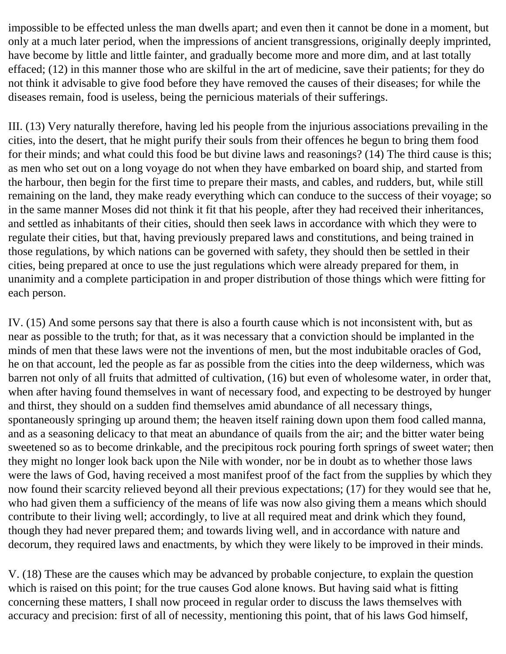impossible to be effected unless the man dwells apart; and even then it cannot be done in a moment, but only at a much later period, when the impressions of ancient transgressions, originally deeply imprinted, have become by little and little fainter, and gradually become more and more dim, and at last totally effaced; (12) in this manner those who are skilful in the art of medicine, save their patients; for they do not think it advisable to give food before they have removed the causes of their diseases; for while the diseases remain, food is useless, being the pernicious materials of their sufferings.

III. (13) Very naturally therefore, having led his people from the injurious associations prevailing in the cities, into the desert, that he might purify their souls from their offences he begun to bring them food for their minds; and what could this food be but divine laws and reasonings? (14) The third cause is this; as men who set out on a long voyage do not when they have embarked on board ship, and started from the harbour, then begin for the first time to prepare their masts, and cables, and rudders, but, while still remaining on the land, they make ready everything which can conduce to the success of their voyage; so in the same manner Moses did not think it fit that his people, after they had received their inheritances, and settled as inhabitants of their cities, should then seek laws in accordance with which they were to regulate their cities, but that, having previously prepared laws and constitutions, and being trained in those regulations, by which nations can be governed with safety, they should then be settled in their cities, being prepared at once to use the just regulations which were already prepared for them, in unanimity and a complete participation in and proper distribution of those things which were fitting for each person.

IV. (15) And some persons say that there is also a fourth cause which is not inconsistent with, but as near as possible to the truth; for that, as it was necessary that a conviction should be implanted in the minds of men that these laws were not the inventions of men, but the most indubitable oracles of God, he on that account, led the people as far as possible from the cities into the deep wilderness, which was barren not only of all fruits that admitted of cultivation, (16) but even of wholesome water, in order that, when after having found themselves in want of necessary food, and expecting to be destroyed by hunger and thirst, they should on a sudden find themselves amid abundance of all necessary things, spontaneously springing up around them; the heaven itself raining down upon them food called manna, and as a seasoning delicacy to that meat an abundance of quails from the air; and the bitter water being sweetened so as to become drinkable, and the precipitous rock pouring forth springs of sweet water; then they might no longer look back upon the Nile with wonder, nor be in doubt as to whether those laws were the laws of God, having received a most manifest proof of the fact from the supplies by which they now found their scarcity relieved beyond all their previous expectations; (17) for they would see that he, who had given them a sufficiency of the means of life was now also giving them a means which should contribute to their living well; accordingly, to live at all required meat and drink which they found, though they had never prepared them; and towards living well, and in accordance with nature and decorum, they required laws and enactments, by which they were likely to be improved in their minds.

V. (18) These are the causes which may be advanced by probable conjecture, to explain the question which is raised on this point; for the true causes God alone knows. But having said what is fitting concerning these matters, I shall now proceed in regular order to discuss the laws themselves with accuracy and precision: first of all of necessity, mentioning this point, that of his laws God himself,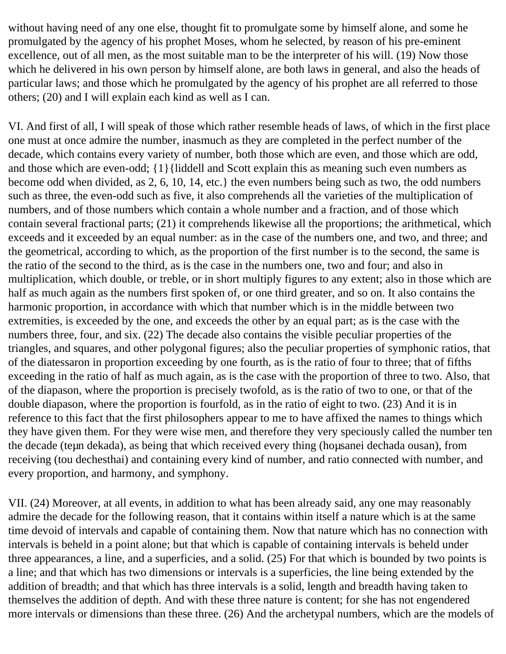without having need of any one else, thought fit to promulgate some by himself alone, and some he promulgated by the agency of his prophet Moses, whom he selected, by reason of his pre-eminent excellence, out of all men, as the most suitable man to be the interpreter of his will. (19) Now those which he delivered in his own person by himself alone, are both laws in general, and also the heads of particular laws; and those which he promulgated by the agency of his prophet are all referred to those others; (20) and I will explain each kind as well as I can.

VI. And first of all, I will speak of those which rather resemble heads of laws, of which in the first place one must at once admire the number, inasmuch as they are completed in the perfect number of the decade, which contains every variety of number, both those which are even, and those which are odd, and those which are even-odd; {1}{liddell and Scott explain this as meaning such even numbers as become odd when divided, as 2, 6, 10, 14, etc.} the even numbers being such as two, the odd numbers such as three, the even-odd such as five, it also comprehends all the varieties of the multiplication of numbers, and of those numbers which contain a whole number and a fraction, and of those which contain several fractional parts; (21) it comprehends likewise all the proportions; the arithmetical, which exceeds and it exceeded by an equal number: as in the case of the numbers one, and two, and three; and the geometrical, according to which, as the proportion of the first number is to the second, the same is the ratio of the second to the third, as is the case in the numbers one, two and four; and also in multiplication, which double, or treble, or in short multiply figures to any extent; also in those which are half as much again as the numbers first spoken of, or one third greater, and so on. It also contains the harmonic proportion, in accordance with which that number which is in the middle between two extremities, is exceeded by the one, and exceeds the other by an equal part; as is the case with the numbers three, four, and six. (22) The decade also contains the visible peculiar properties of the triangles, and squares, and other polygonal figures; also the peculiar properties of symphonic ratios, that of the diatessaron in proportion exceeding by one fourth, as is the ratio of four to three; that of fifths exceeding in the ratio of half as much again, as is the case with the proportion of three to two. Also, that of the diapason, where the proportion is precisely twofold, as is the ratio of two to one, or that of the double diapason, where the proportion is fourfold, as in the ratio of eight to two. (23) And it is in reference to this fact that the first philosophers appear to me to have affixed the names to things which they have given them. For they were wise men, and therefore they very speciously called the number ten the decade (teµn dekada), as being that which received every thing (hoµsanei dechada ousan), from receiving (tou dechesthai) and containing every kind of number, and ratio connected with number, and every proportion, and harmony, and symphony.

VII. (24) Moreover, at all events, in addition to what has been already said, any one may reasonably admire the decade for the following reason, that it contains within itself a nature which is at the same time devoid of intervals and capable of containing them. Now that nature which has no connection with intervals is beheld in a point alone; but that which is capable of containing intervals is beheld under three appearances, a line, and a superficies, and a solid. (25) For that which is bounded by two points is a line; and that which has two dimensions or intervals is a superficies, the line being extended by the addition of breadth; and that which has three intervals is a solid, length and breadth having taken to themselves the addition of depth. And with these three nature is content; for she has not engendered more intervals or dimensions than these three. (26) And the archetypal numbers, which are the models of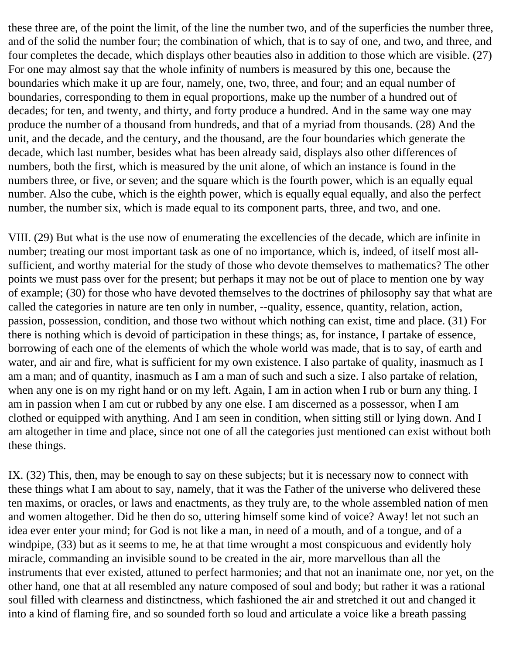these three are, of the point the limit, of the line the number two, and of the superficies the number three, and of the solid the number four; the combination of which, that is to say of one, and two, and three, and four completes the decade, which displays other beauties also in addition to those which are visible. (27) For one may almost say that the whole infinity of numbers is measured by this one, because the boundaries which make it up are four, namely, one, two, three, and four; and an equal number of boundaries, corresponding to them in equal proportions, make up the number of a hundred out of decades; for ten, and twenty, and thirty, and forty produce a hundred. And in the same way one may produce the number of a thousand from hundreds, and that of a myriad from thousands. (28) And the unit, and the decade, and the century, and the thousand, are the four boundaries which generate the decade, which last number, besides what has been already said, displays also other differences of numbers, both the first, which is measured by the unit alone, of which an instance is found in the numbers three, or five, or seven; and the square which is the fourth power, which is an equally equal number. Also the cube, which is the eighth power, which is equally equal equally, and also the perfect number, the number six, which is made equal to its component parts, three, and two, and one.

VIII. (29) But what is the use now of enumerating the excellencies of the decade, which are infinite in number; treating our most important task as one of no importance, which is, indeed, of itself most allsufficient, and worthy material for the study of those who devote themselves to mathematics? The other points we must pass over for the present; but perhaps it may not be out of place to mention one by way of example; (30) for those who have devoted themselves to the doctrines of philosophy say that what are called the categories in nature are ten only in number, --quality, essence, quantity, relation, action, passion, possession, condition, and those two without which nothing can exist, time and place. (31) For there is nothing which is devoid of participation in these things; as, for instance, I partake of essence, borrowing of each one of the elements of which the whole world was made, that is to say, of earth and water, and air and fire, what is sufficient for my own existence. I also partake of quality, inasmuch as I am a man; and of quantity, inasmuch as I am a man of such and such a size. I also partake of relation, when any one is on my right hand or on my left. Again, I am in action when I rub or burn any thing. I am in passion when I am cut or rubbed by any one else. I am discerned as a possessor, when I am clothed or equipped with anything. And I am seen in condition, when sitting still or lying down. And I am altogether in time and place, since not one of all the categories just mentioned can exist without both these things.

IX. (32) This, then, may be enough to say on these subjects; but it is necessary now to connect with these things what I am about to say, namely, that it was the Father of the universe who delivered these ten maxims, or oracles, or laws and enactments, as they truly are, to the whole assembled nation of men and women altogether. Did he then do so, uttering himself some kind of voice? Away! let not such an idea ever enter your mind; for God is not like a man, in need of a mouth, and of a tongue, and of a windpipe, (33) but as it seems to me, he at that time wrought a most conspicuous and evidently holy miracle, commanding an invisible sound to be created in the air, more marvellous than all the instruments that ever existed, attuned to perfect harmonies; and that not an inanimate one, nor yet, on the other hand, one that at all resembled any nature composed of soul and body; but rather it was a rational soul filled with clearness and distinctness, which fashioned the air and stretched it out and changed it into a kind of flaming fire, and so sounded forth so loud and articulate a voice like a breath passing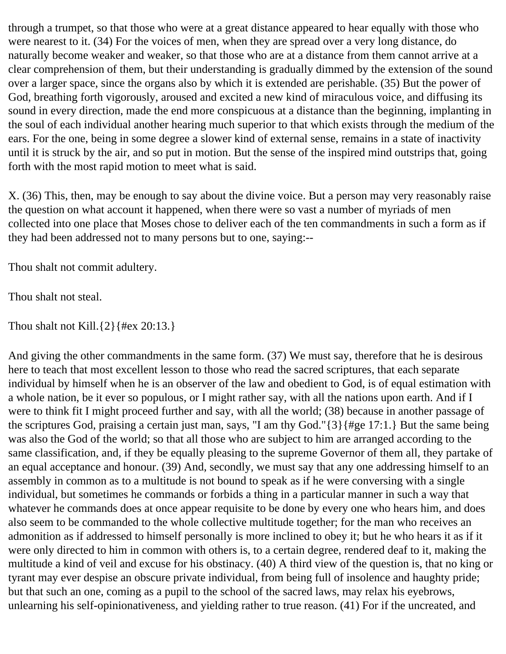through a trumpet, so that those who were at a great distance appeared to hear equally with those who were nearest to it. (34) For the voices of men, when they are spread over a very long distance, do naturally become weaker and weaker, so that those who are at a distance from them cannot arrive at a clear comprehension of them, but their understanding is gradually dimmed by the extension of the sound over a larger space, since the organs also by which it is extended are perishable. (35) But the power of God, breathing forth vigorously, aroused and excited a new kind of miraculous voice, and diffusing its sound in every direction, made the end more conspicuous at a distance than the beginning, implanting in the soul of each individual another hearing much superior to that which exists through the medium of the ears. For the one, being in some degree a slower kind of external sense, remains in a state of inactivity until it is struck by the air, and so put in motion. But the sense of the inspired mind outstrips that, going forth with the most rapid motion to meet what is said.

X. (36) This, then, may be enough to say about the divine voice. But a person may very reasonably raise the question on what account it happened, when there were so vast a number of myriads of men collected into one place that Moses chose to deliver each of the ten commandments in such a form as if they had been addressed not to many persons but to one, saying:--

Thou shalt not commit adultery.

Thou shalt not steal.

Thou shalt not Kill.{2}{#ex 20:13.}

And giving the other commandments in the same form. (37) We must say, therefore that he is desirous here to teach that most excellent lesson to those who read the sacred scriptures, that each separate individual by himself when he is an observer of the law and obedient to God, is of equal estimation with a whole nation, be it ever so populous, or I might rather say, with all the nations upon earth. And if I were to think fit I might proceed further and say, with all the world; (38) because in another passage of the scriptures God, praising a certain just man, says, "I am thy God."{3}{#ge 17:1.} But the same being was also the God of the world; so that all those who are subject to him are arranged according to the same classification, and, if they be equally pleasing to the supreme Governor of them all, they partake of an equal acceptance and honour. (39) And, secondly, we must say that any one addressing himself to an assembly in common as to a multitude is not bound to speak as if he were conversing with a single individual, but sometimes he commands or forbids a thing in a particular manner in such a way that whatever he commands does at once appear requisite to be done by every one who hears him, and does also seem to be commanded to the whole collective multitude together; for the man who receives an admonition as if addressed to himself personally is more inclined to obey it; but he who hears it as if it were only directed to him in common with others is, to a certain degree, rendered deaf to it, making the multitude a kind of veil and excuse for his obstinacy. (40) A third view of the question is, that no king or tyrant may ever despise an obscure private individual, from being full of insolence and haughty pride; but that such an one, coming as a pupil to the school of the sacred laws, may relax his eyebrows, unlearning his self-opinionativeness, and yielding rather to true reason. (41) For if the uncreated, and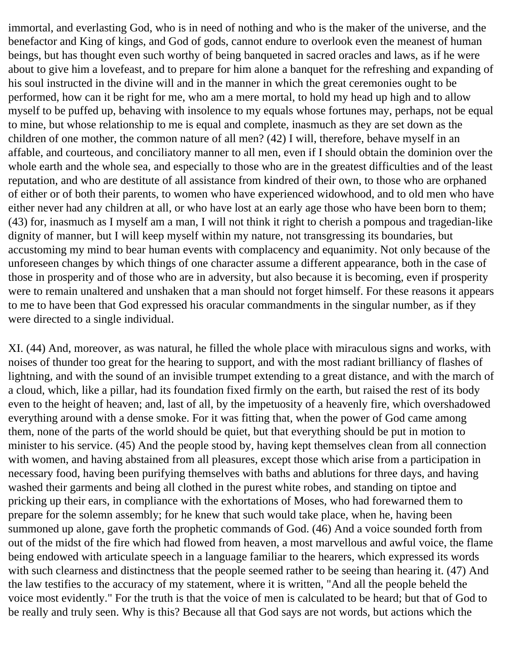immortal, and everlasting God, who is in need of nothing and who is the maker of the universe, and the benefactor and King of kings, and God of gods, cannot endure to overlook even the meanest of human beings, but has thought even such worthy of being banqueted in sacred oracles and laws, as if he were about to give him a lovefeast, and to prepare for him alone a banquet for the refreshing and expanding of his soul instructed in the divine will and in the manner in which the great ceremonies ought to be performed, how can it be right for me, who am a mere mortal, to hold my head up high and to allow myself to be puffed up, behaving with insolence to my equals whose fortunes may, perhaps, not be equal to mine, but whose relationship to me is equal and complete, inasmuch as they are set down as the children of one mother, the common nature of all men? (42) I will, therefore, behave myself in an affable, and courteous, and conciliatory manner to all men, even if I should obtain the dominion over the whole earth and the whole sea, and especially to those who are in the greatest difficulties and of the least reputation, and who are destitute of all assistance from kindred of their own, to those who are orphaned of either or of both their parents, to women who have experienced widowhood, and to old men who have either never had any children at all, or who have lost at an early age those who have been born to them; (43) for, inasmuch as I myself am a man, I will not think it right to cherish a pompous and tragedian-like dignity of manner, but I will keep myself within my nature, not transgressing its boundaries, but accustoming my mind to bear human events with complacency and equanimity. Not only because of the unforeseen changes by which things of one character assume a different appearance, both in the case of those in prosperity and of those who are in adversity, but also because it is becoming, even if prosperity were to remain unaltered and unshaken that a man should not forget himself. For these reasons it appears to me to have been that God expressed his oracular commandments in the singular number, as if they were directed to a single individual.

XI. (44) And, moreover, as was natural, he filled the whole place with miraculous signs and works, with noises of thunder too great for the hearing to support, and with the most radiant brilliancy of flashes of lightning, and with the sound of an invisible trumpet extending to a great distance, and with the march of a cloud, which, like a pillar, had its foundation fixed firmly on the earth, but raised the rest of its body even to the height of heaven; and, last of all, by the impetuosity of a heavenly fire, which overshadowed everything around with a dense smoke. For it was fitting that, when the power of God came among them, none of the parts of the world should be quiet, but that everything should be put in motion to minister to his service. (45) And the people stood by, having kept themselves clean from all connection with women, and having abstained from all pleasures, except those which arise from a participation in necessary food, having been purifying themselves with baths and ablutions for three days, and having washed their garments and being all clothed in the purest white robes, and standing on tiptoe and pricking up their ears, in compliance with the exhortations of Moses, who had forewarned them to prepare for the solemn assembly; for he knew that such would take place, when he, having been summoned up alone, gave forth the prophetic commands of God. (46) And a voice sounded forth from out of the midst of the fire which had flowed from heaven, a most marvellous and awful voice, the flame being endowed with articulate speech in a language familiar to the hearers, which expressed its words with such clearness and distinctness that the people seemed rather to be seeing than hearing it. (47) And the law testifies to the accuracy of my statement, where it is written, "And all the people beheld the voice most evidently." For the truth is that the voice of men is calculated to be heard; but that of God to be really and truly seen. Why is this? Because all that God says are not words, but actions which the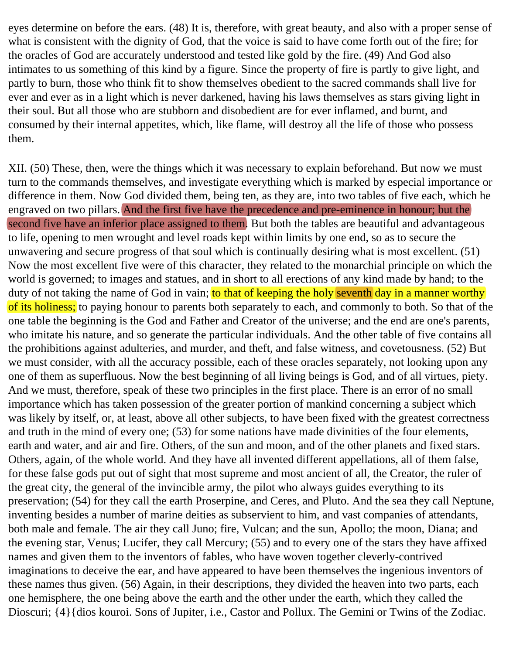eyes determine on before the ears. (48) It is, therefore, with great beauty, and also with a proper sense of what is consistent with the dignity of God, that the voice is said to have come forth out of the fire; for the oracles of God are accurately understood and tested like gold by the fire. (49) And God also intimates to us something of this kind by a figure. Since the property of fire is partly to give light, and partly to burn, those who think fit to show themselves obedient to the sacred commands shall live for ever and ever as in a light which is never darkened, having his laws themselves as stars giving light in their soul. But all those who are stubborn and disobedient are for ever inflamed, and burnt, and consumed by their internal appetites, which, like flame, will destroy all the life of those who possess them.

XII. (50) These, then, were the things which it was necessary to explain beforehand. But now we must turn to the commands themselves, and investigate everything which is marked by especial importance or difference in them. Now God divided them, being ten, as they are, into two tables of five each, which he engraved on two pillars. And the first five have the precedence and pre-eminence in honour; but the second five have an inferior place assigned to them. But both the tables are beautiful and advantageous to life, opening to men wrought and level roads kept within limits by one end, so as to secure the unwavering and secure progress of that soul which is continually desiring what is most excellent. (51) Now the most excellent five were of this character, they related to the monarchial principle on which the world is governed; to images and statues, and in short to all erections of any kind made by hand; to the duty of not taking the name of God in vain; to that of keeping the holy seventh day in a manner worthy of its holiness; to paying honour to parents both separately to each, and commonly to both. So that of the one table the beginning is the God and Father and Creator of the universe; and the end are one's parents, who imitate his nature, and so generate the particular individuals. And the other table of five contains all the prohibitions against adulteries, and murder, and theft, and false witness, and covetousness. (52) But we must consider, with all the accuracy possible, each of these oracles separately, not looking upon any one of them as superfluous. Now the best beginning of all living beings is God, and of all virtues, piety. And we must, therefore, speak of these two principles in the first place. There is an error of no small importance which has taken possession of the greater portion of mankind concerning a subject which was likely by itself, or, at least, above all other subjects, to have been fixed with the greatest correctness and truth in the mind of every one; (53) for some nations have made divinities of the four elements, earth and water, and air and fire. Others, of the sun and moon, and of the other planets and fixed stars. Others, again, of the whole world. And they have all invented different appellations, all of them false, for these false gods put out of sight that most supreme and most ancient of all, the Creator, the ruler of the great city, the general of the invincible army, the pilot who always guides everything to its preservation; (54) for they call the earth Proserpine, and Ceres, and Pluto. And the sea they call Neptune, inventing besides a number of marine deities as subservient to him, and vast companies of attendants, both male and female. The air they call Juno; fire, Vulcan; and the sun, Apollo; the moon, Diana; and the evening star, Venus; Lucifer, they call Mercury; (55) and to every one of the stars they have affixed names and given them to the inventors of fables, who have woven together cleverly-contrived imaginations to deceive the ear, and have appeared to have been themselves the ingenious inventors of these names thus given. (56) Again, in their descriptions, they divided the heaven into two parts, each one hemisphere, the one being above the earth and the other under the earth, which they called the Dioscuri; {4}{dios kouroi. Sons of Jupiter, i.e., Castor and Pollux. The Gemini or Twins of the Zodiac.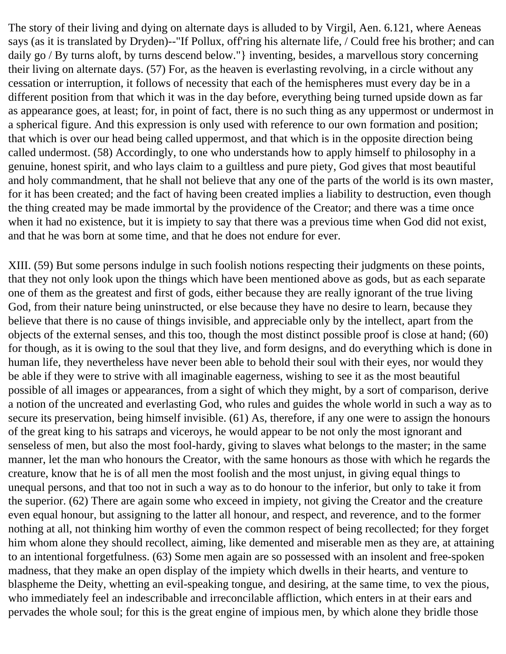The story of their living and dying on alternate days is alluded to by Virgil, Aen. 6.121, where Aeneas says (as it is translated by Dryden)--"If Pollux, off'ring his alternate life, / Could free his brother; and can daily go / By turns aloft, by turns descend below."} inventing, besides, a marvellous story concerning their living on alternate days. (57) For, as the heaven is everlasting revolving, in a circle without any cessation or interruption, it follows of necessity that each of the hemispheres must every day be in a different position from that which it was in the day before, everything being turned upside down as far as appearance goes, at least; for, in point of fact, there is no such thing as any uppermost or undermost in a spherical figure. And this expression is only used with reference to our own formation and position; that which is over our head being called uppermost, and that which is in the opposite direction being called undermost. (58) Accordingly, to one who understands how to apply himself to philosophy in a genuine, honest spirit, and who lays claim to a guiltless and pure piety, God gives that most beautiful and holy commandment, that he shall not believe that any one of the parts of the world is its own master, for it has been created; and the fact of having been created implies a liability to destruction, even though the thing created may be made immortal by the providence of the Creator; and there was a time once when it had no existence, but it is impiety to say that there was a previous time when God did not exist, and that he was born at some time, and that he does not endure for ever.

XIII. (59) But some persons indulge in such foolish notions respecting their judgments on these points, that they not only look upon the things which have been mentioned above as gods, but as each separate one of them as the greatest and first of gods, either because they are really ignorant of the true living God, from their nature being uninstructed, or else because they have no desire to learn, because they believe that there is no cause of things invisible, and appreciable only by the intellect, apart from the objects of the external senses, and this too, though the most distinct possible proof is close at hand; (60) for though, as it is owing to the soul that they live, and form designs, and do everything which is done in human life, they nevertheless have never been able to behold their soul with their eyes, nor would they be able if they were to strive with all imaginable eagerness, wishing to see it as the most beautiful possible of all images or appearances, from a sight of which they might, by a sort of comparison, derive a notion of the uncreated and everlasting God, who rules and guides the whole world in such a way as to secure its preservation, being himself invisible. (61) As, therefore, if any one were to assign the honours of the great king to his satraps and viceroys, he would appear to be not only the most ignorant and senseless of men, but also the most fool-hardy, giving to slaves what belongs to the master; in the same manner, let the man who honours the Creator, with the same honours as those with which he regards the creature, know that he is of all men the most foolish and the most unjust, in giving equal things to unequal persons, and that too not in such a way as to do honour to the inferior, but only to take it from the superior. (62) There are again some who exceed in impiety, not giving the Creator and the creature even equal honour, but assigning to the latter all honour, and respect, and reverence, and to the former nothing at all, not thinking him worthy of even the common respect of being recollected; for they forget him whom alone they should recollect, aiming, like demented and miserable men as they are, at attaining to an intentional forgetfulness. (63) Some men again are so possessed with an insolent and free-spoken madness, that they make an open display of the impiety which dwells in their hearts, and venture to blaspheme the Deity, whetting an evil-speaking tongue, and desiring, at the same time, to vex the pious, who immediately feel an indescribable and irreconcilable affliction, which enters in at their ears and pervades the whole soul; for this is the great engine of impious men, by which alone they bridle those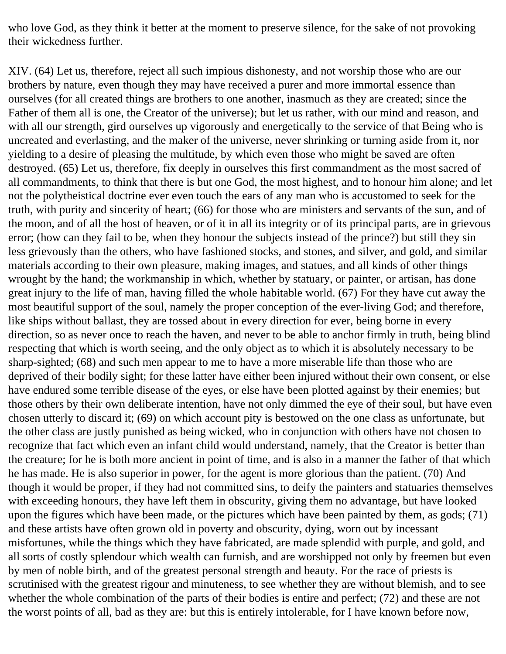who love God, as they think it better at the moment to preserve silence, for the sake of not provoking their wickedness further.

XIV. (64) Let us, therefore, reject all such impious dishonesty, and not worship those who are our brothers by nature, even though they may have received a purer and more immortal essence than ourselves (for all created things are brothers to one another, inasmuch as they are created; since the Father of them all is one, the Creator of the universe); but let us rather, with our mind and reason, and with all our strength, gird ourselves up vigorously and energetically to the service of that Being who is uncreated and everlasting, and the maker of the universe, never shrinking or turning aside from it, nor yielding to a desire of pleasing the multitude, by which even those who might be saved are often destroyed. (65) Let us, therefore, fix deeply in ourselves this first commandment as the most sacred of all commandments, to think that there is but one God, the most highest, and to honour him alone; and let not the polytheistical doctrine ever even touch the ears of any man who is accustomed to seek for the truth, with purity and sincerity of heart; (66) for those who are ministers and servants of the sun, and of the moon, and of all the host of heaven, or of it in all its integrity or of its principal parts, are in grievous error; (how can they fail to be, when they honour the subjects instead of the prince?) but still they sin less grievously than the others, who have fashioned stocks, and stones, and silver, and gold, and similar materials according to their own pleasure, making images, and statues, and all kinds of other things wrought by the hand; the workmanship in which, whether by statuary, or painter, or artisan, has done great injury to the life of man, having filled the whole habitable world. (67) For they have cut away the most beautiful support of the soul, namely the proper conception of the ever-living God; and therefore, like ships without ballast, they are tossed about in every direction for ever, being borne in every direction, so as never once to reach the haven, and never to be able to anchor firmly in truth, being blind respecting that which is worth seeing, and the only object as to which it is absolutely necessary to be sharp-sighted; (68) and such men appear to me to have a more miserable life than those who are deprived of their bodily sight; for these latter have either been injured without their own consent, or else have endured some terrible disease of the eyes, or else have been plotted against by their enemies; but those others by their own deliberate intention, have not only dimmed the eye of their soul, but have even chosen utterly to discard it; (69) on which account pity is bestowed on the one class as unfortunate, but the other class are justly punished as being wicked, who in conjunction with others have not chosen to recognize that fact which even an infant child would understand, namely, that the Creator is better than the creature; for he is both more ancient in point of time, and is also in a manner the father of that which he has made. He is also superior in power, for the agent is more glorious than the patient. (70) And though it would be proper, if they had not committed sins, to deify the painters and statuaries themselves with exceeding honours, they have left them in obscurity, giving them no advantage, but have looked upon the figures which have been made, or the pictures which have been painted by them, as gods; (71) and these artists have often grown old in poverty and obscurity, dying, worn out by incessant misfortunes, while the things which they have fabricated, are made splendid with purple, and gold, and all sorts of costly splendour which wealth can furnish, and are worshipped not only by freemen but even by men of noble birth, and of the greatest personal strength and beauty. For the race of priests is scrutinised with the greatest rigour and minuteness, to see whether they are without blemish, and to see whether the whole combination of the parts of their bodies is entire and perfect; (72) and these are not the worst points of all, bad as they are: but this is entirely intolerable, for I have known before now,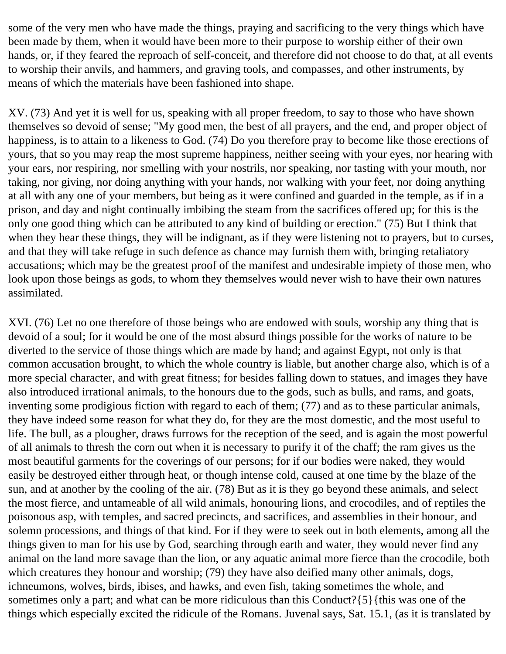some of the very men who have made the things, praying and sacrificing to the very things which have been made by them, when it would have been more to their purpose to worship either of their own hands, or, if they feared the reproach of self-conceit, and therefore did not choose to do that, at all events to worship their anvils, and hammers, and graving tools, and compasses, and other instruments, by means of which the materials have been fashioned into shape.

XV. (73) And yet it is well for us, speaking with all proper freedom, to say to those who have shown themselves so devoid of sense; "My good men, the best of all prayers, and the end, and proper object of happiness, is to attain to a likeness to God. (74) Do you therefore pray to become like those erections of yours, that so you may reap the most supreme happiness, neither seeing with your eyes, nor hearing with your ears, nor respiring, nor smelling with your nostrils, nor speaking, nor tasting with your mouth, nor taking, nor giving, nor doing anything with your hands, nor walking with your feet, nor doing anything at all with any one of your members, but being as it were confined and guarded in the temple, as if in a prison, and day and night continually imbibing the steam from the sacrifices offered up; for this is the only one good thing which can be attributed to any kind of building or erection." (75) But I think that when they hear these things, they will be indignant, as if they were listening not to prayers, but to curses, and that they will take refuge in such defence as chance may furnish them with, bringing retaliatory accusations; which may be the greatest proof of the manifest and undesirable impiety of those men, who look upon those beings as gods, to whom they themselves would never wish to have their own natures assimilated.

XVI. (76) Let no one therefore of those beings who are endowed with souls, worship any thing that is devoid of a soul; for it would be one of the most absurd things possible for the works of nature to be diverted to the service of those things which are made by hand; and against Egypt, not only is that common accusation brought, to which the whole country is liable, but another charge also, which is of a more special character, and with great fitness; for besides falling down to statues, and images they have also introduced irrational animals, to the honours due to the gods, such as bulls, and rams, and goats, inventing some prodigious fiction with regard to each of them; (77) and as to these particular animals, they have indeed some reason for what they do, for they are the most domestic, and the most useful to life. The bull, as a plougher, draws furrows for the reception of the seed, and is again the most powerful of all animals to thresh the corn out when it is necessary to purify it of the chaff; the ram gives us the most beautiful garments for the coverings of our persons; for if our bodies were naked, they would easily be destroyed either through heat, or though intense cold, caused at one time by the blaze of the sun, and at another by the cooling of the air. (78) But as it is they go beyond these animals, and select the most fierce, and untameable of all wild animals, honouring lions, and crocodiles, and of reptiles the poisonous asp, with temples, and sacred precincts, and sacrifices, and assemblies in their honour, and solemn processions, and things of that kind. For if they were to seek out in both elements, among all the things given to man for his use by God, searching through earth and water, they would never find any animal on the land more savage than the lion, or any aquatic animal more fierce than the crocodile, both which creatures they honour and worship; (79) they have also deified many other animals, dogs, ichneumons, wolves, birds, ibises, and hawks, and even fish, taking sometimes the whole, and sometimes only a part; and what can be more ridiculous than this Conduct?{5}{this was one of the things which especially excited the ridicule of the Romans. Juvenal says, Sat. 15.1, (as it is translated by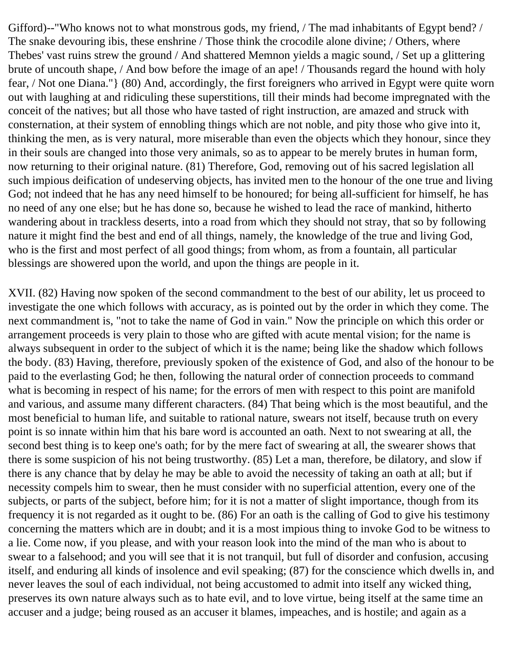Gifford)--"Who knows not to what monstrous gods, my friend, / The mad inhabitants of Egypt bend? / The snake devouring ibis, these enshrine / Those think the crocodile alone divine; / Others, where Thebes' vast ruins strew the ground / And shattered Memnon yields a magic sound, / Set up a glittering brute of uncouth shape, / And bow before the image of an ape! / Thousands regard the hound with holy fear, / Not one Diana."} (80) And, accordingly, the first foreigners who arrived in Egypt were quite worn out with laughing at and ridiculing these superstitions, till their minds had become impregnated with the conceit of the natives; but all those who have tasted of right instruction, are amazed and struck with consternation, at their system of ennobling things which are not noble, and pity those who give into it, thinking the men, as is very natural, more miserable than even the objects which they honour, since they in their souls are changed into those very animals, so as to appear to be merely brutes in human form, now returning to their original nature. (81) Therefore, God, removing out of his sacred legislation all such impious deification of undeserving objects, has invited men to the honour of the one true and living God; not indeed that he has any need himself to be honoured; for being all-sufficient for himself, he has no need of any one else; but he has done so, because he wished to lead the race of mankind, hitherto wandering about in trackless deserts, into a road from which they should not stray, that so by following nature it might find the best and end of all things, namely, the knowledge of the true and living God, who is the first and most perfect of all good things; from whom, as from a fountain, all particular blessings are showered upon the world, and upon the things are people in it.

XVII. (82) Having now spoken of the second commandment to the best of our ability, let us proceed to investigate the one which follows with accuracy, as is pointed out by the order in which they come. The next commandment is, "not to take the name of God in vain." Now the principle on which this order or arrangement proceeds is very plain to those who are gifted with acute mental vision; for the name is always subsequent in order to the subject of which it is the name; being like the shadow which follows the body. (83) Having, therefore, previously spoken of the existence of God, and also of the honour to be paid to the everlasting God; he then, following the natural order of connection proceeds to command what is becoming in respect of his name; for the errors of men with respect to this point are manifold and various, and assume many different characters. (84) That being which is the most beautiful, and the most beneficial to human life, and suitable to rational nature, swears not itself, because truth on every point is so innate within him that his bare word is accounted an oath. Next to not swearing at all, the second best thing is to keep one's oath; for by the mere fact of swearing at all, the swearer shows that there is some suspicion of his not being trustworthy. (85) Let a man, therefore, be dilatory, and slow if there is any chance that by delay he may be able to avoid the necessity of taking an oath at all; but if necessity compels him to swear, then he must consider with no superficial attention, every one of the subjects, or parts of the subject, before him; for it is not a matter of slight importance, though from its frequency it is not regarded as it ought to be. (86) For an oath is the calling of God to give his testimony concerning the matters which are in doubt; and it is a most impious thing to invoke God to be witness to a lie. Come now, if you please, and with your reason look into the mind of the man who is about to swear to a falsehood; and you will see that it is not tranquil, but full of disorder and confusion, accusing itself, and enduring all kinds of insolence and evil speaking; (87) for the conscience which dwells in, and never leaves the soul of each individual, not being accustomed to admit into itself any wicked thing, preserves its own nature always such as to hate evil, and to love virtue, being itself at the same time an accuser and a judge; being roused as an accuser it blames, impeaches, and is hostile; and again as a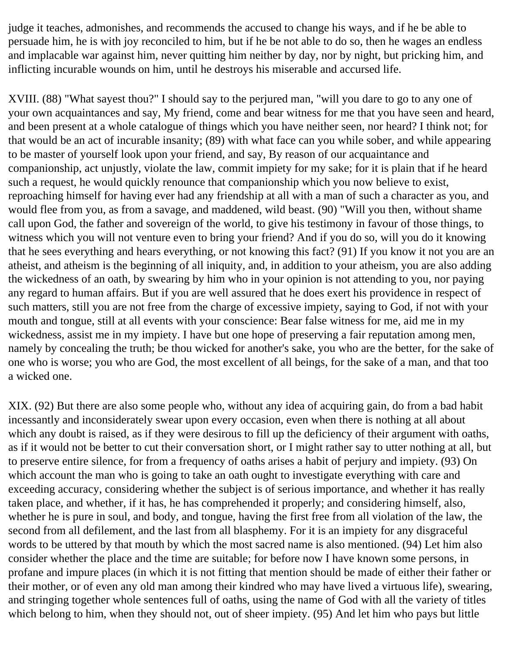judge it teaches, admonishes, and recommends the accused to change his ways, and if he be able to persuade him, he is with joy reconciled to him, but if he be not able to do so, then he wages an endless and implacable war against him, never quitting him neither by day, nor by night, but pricking him, and inflicting incurable wounds on him, until he destroys his miserable and accursed life.

XVIII. (88) "What sayest thou?" I should say to the perjured man, "will you dare to go to any one of your own acquaintances and say, My friend, come and bear witness for me that you have seen and heard, and been present at a whole catalogue of things which you have neither seen, nor heard? I think not; for that would be an act of incurable insanity; (89) with what face can you while sober, and while appearing to be master of yourself look upon your friend, and say, By reason of our acquaintance and companionship, act unjustly, violate the law, commit impiety for my sake; for it is plain that if he heard such a request, he would quickly renounce that companionship which you now believe to exist, reproaching himself for having ever had any friendship at all with a man of such a character as you, and would flee from you, as from a savage, and maddened, wild beast. (90) "Will you then, without shame call upon God, the father and sovereign of the world, to give his testimony in favour of those things, to witness which you will not venture even to bring your friend? And if you do so, will you do it knowing that he sees everything and hears everything, or not knowing this fact? (91) If you know it not you are an atheist, and atheism is the beginning of all iniquity, and, in addition to your atheism, you are also adding the wickedness of an oath, by swearing by him who in your opinion is not attending to you, nor paying any regard to human affairs. But if you are well assured that he does exert his providence in respect of such matters, still you are not free from the charge of excessive impiety, saying to God, if not with your mouth and tongue, still at all events with your conscience: Bear false witness for me, aid me in my wickedness, assist me in my impiety. I have but one hope of preserving a fair reputation among men, namely by concealing the truth; be thou wicked for another's sake, you who are the better, for the sake of one who is worse; you who are God, the most excellent of all beings, for the sake of a man, and that too a wicked one.

XIX. (92) But there are also some people who, without any idea of acquiring gain, do from a bad habit incessantly and inconsiderately swear upon every occasion, even when there is nothing at all about which any doubt is raised, as if they were desirous to fill up the deficiency of their argument with oaths, as if it would not be better to cut their conversation short, or I might rather say to utter nothing at all, but to preserve entire silence, for from a frequency of oaths arises a habit of perjury and impiety. (93) On which account the man who is going to take an oath ought to investigate everything with care and exceeding accuracy, considering whether the subject is of serious importance, and whether it has really taken place, and whether, if it has, he has comprehended it properly; and considering himself, also, whether he is pure in soul, and body, and tongue, having the first free from all violation of the law, the second from all defilement, and the last from all blasphemy. For it is an impiety for any disgraceful words to be uttered by that mouth by which the most sacred name is also mentioned. (94) Let him also consider whether the place and the time are suitable; for before now I have known some persons, in profane and impure places (in which it is not fitting that mention should be made of either their father or their mother, or of even any old man among their kindred who may have lived a virtuous life), swearing, and stringing together whole sentences full of oaths, using the name of God with all the variety of titles which belong to him, when they should not, out of sheer impiety. (95) And let him who pays but little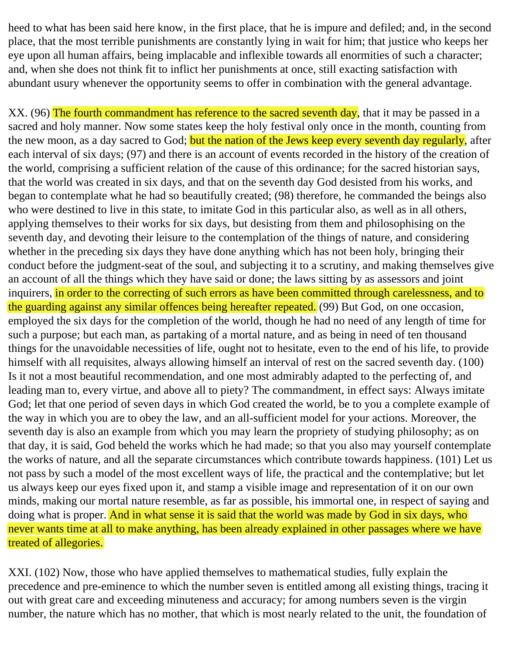heed to what has been said here know, in the first place, that he is impure and defiled; and, in the second place, that the most terrible punishments are constantly lying in wait for him; that justice who keeps her eye upon all human affairs, being implacable and inflexible towards all enormities of such a character; and, when she does not think fit to inflict her punishments at once, still exacting satisfaction with abundant usury whenever the opportunity seems to offer in combination with the general advantage.

XX. (96) The fourth commandment has reference to the sacred seventh day, that it may be passed in a sacred and holy manner. Now some states keep the holy festival only once in the month, counting from the new moon, as a day sacred to God; but the nation of the Jews keep every seventh day regularly, after each interval of six days; (97) and there is an account of events recorded in the history of the creation of the world, comprising a sufficient relation of the cause of this ordinance; for the sacred historian says, that the world was created in six days, and that on the seventh day God desisted from his works, and began to contemplate what he had so beautifully created; (98) therefore, he commanded the beings also who were destined to live in this state, to imitate God in this particular also, as well as in all others, applying themselves to their works for six days, but desisting from them and philosophising on the seventh day, and devoting their leisure to the contemplation of the things of nature, and considering whether in the preceding six days they have done anything which has not been holy, bringing their conduct before the judgment-seat of the soul, and subjecting it to a scrutiny, and making themselves give an account of all the things which they have said or done; the laws sitting by as assessors and joint inquirers, in order to the correcting of such errors as have been committed through carelessness, and to the guarding against any similar offences being hereafter repeated. (99) But God, on one occasion, employed the six days for the completion of the world, though he had no need of any length of time for such a purpose; but each man, as partaking of a mortal nature, and as being in need of ten thousand things for the unavoidable necessities of life, ought not to hesitate, even to the end of his life, to provide himself with all requisites, always allowing himself an interval of rest on the sacred seventh day. (100) Is it not a most beautiful recommendation, and one most admirably adapted to the perfecting of, and leading man to, every virtue, and above all to piety? The commandment, in effect says: Always imitate God; let that one period of seven days in which God created the world, be to you a complete example of the way in which you are to obey the law, and an all-sufficient model for your actions. Moreover, the seventh day is also an example from which you may learn the propriety of studying philosophy; as on that day, it is said, God beheld the works which he had made; so that you also may yourself contemplate the works of nature, and all the separate circumstances which contribute towards happiness. (101) Let us not pass by such a model of the most excellent ways of life, the practical and the contemplative; but let us always keep our eyes fixed upon it, and stamp a visible image and representation of it on our own minds, making our mortal nature resemble, as far as possible, his immortal one, in respect of saying and doing what is proper. And in what sense it is said that the world was made by God in six days, who never wants time at all to make anything, has been already explained in other passages where we have treated of allegories.

XXI. (102) Now, those who have applied themselves to mathematical studies, fully explain the precedence and pre-eminence to which the number seven is entitled among all existing things, tracing it out with great care and exceeding minuteness and accuracy; for among numbers seven is the virgin number, the nature which has no mother, that which is most nearly related to the unit, the foundation of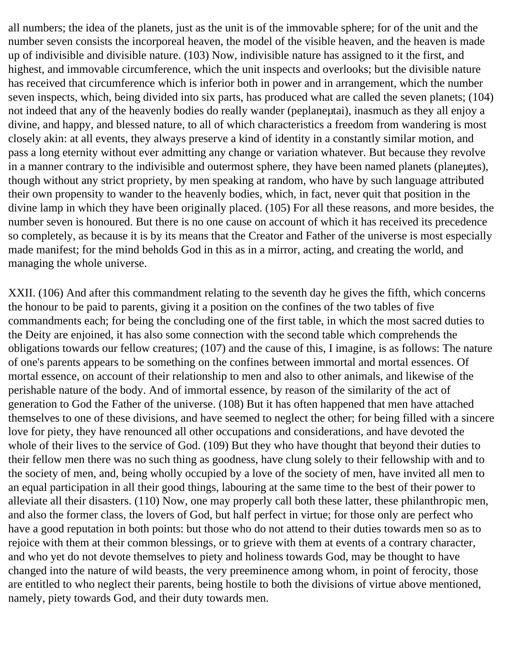all numbers; the idea of the planets, just as the unit is of the immovable sphere; for of the unit and the number seven consists the incorporeal heaven, the model of the visible heaven, and the heaven is made up of indivisible and divisible nature. (103) Now, indivisible nature has assigned to it the first, and highest, and immovable circumference, which the unit inspects and overlooks; but the divisible nature has received that circumference which is inferior both in power and in arrangement, which the number seven inspects, which, being divided into six parts, has produced what are called the seven planets; (104) not indeed that any of the heavenly bodies do really wander (peplaneutai), inasmuch as they all enjoy a divine, and happy, and blessed nature, to all of which characteristics a freedom from wandering is most closely akin: at all events, they always preserve a kind of identity in a constantly similar motion, and pass a long eternity without ever admitting any change or variation whatever. But because they revolve in a manner contrary to the indivisible and outermost sphere, they have been named planets (planeµtes), though without any strict propriety, by men speaking at random, who have by such language attributed their own propensity to wander to the heavenly bodies, which, in fact, never quit that position in the divine lamp in which they have been originally placed. (105) For all these reasons, and more besides, the number seven is honoured. But there is no one cause on account of which it has received its precedence so completely, as because it is by its means that the Creator and Father of the universe is most especially made manifest; for the mind beholds God in this as in a mirror, acting, and creating the world, and managing the whole universe.

XXII. (106) And after this commandment relating to the seventh day he gives the fifth, which concerns the honour to be paid to parents, giving it a position on the confines of the two tables of five commandments each; for being the concluding one of the first table, in which the most sacred duties to the Deity are enjoined, it has also some connection with the second table which comprehends the obligations towards our fellow creatures; (107) and the cause of this, I imagine, is as follows: The nature of one's parents appears to be something on the confines between immortal and mortal essences. Of mortal essence, on account of their relationship to men and also to other animals, and likewise of the perishable nature of the body. And of immortal essence, by reason of the similarity of the act of generation to God the Father of the universe. (108) But it has often happened that men have attached themselves to one of these divisions, and have seemed to neglect the other; for being filled with a sincere love for piety, they have renounced all other occupations and considerations, and have devoted the whole of their lives to the service of God. (109) But they who have thought that beyond their duties to their fellow men there was no such thing as goodness, have clung solely to their fellowship with and to the society of men, and, being wholly occupied by a love of the society of men, have invited all men to an equal participation in all their good things, labouring at the same time to the best of their power to alleviate all their disasters. (110) Now, one may properly call both these latter, these philanthropic men, and also the former class, the lovers of God, but half perfect in virtue; for those only are perfect who have a good reputation in both points: but those who do not attend to their duties towards men so as to rejoice with them at their common blessings, or to grieve with them at events of a contrary character, and who yet do not devote themselves to piety and holiness towards God, may be thought to have changed into the nature of wild beasts, the very preeminence among whom, in point of ferocity, those are entitled to who neglect their parents, being hostile to both the divisions of virtue above mentioned, namely, piety towards God, and their duty towards men.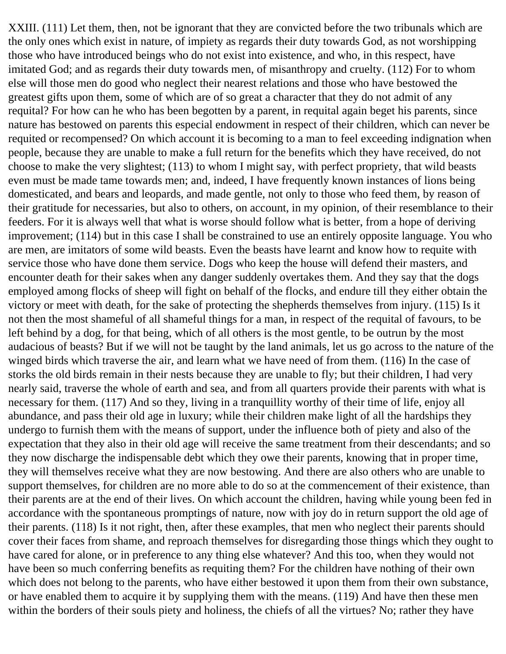XXIII. (111) Let them, then, not be ignorant that they are convicted before the two tribunals which are the only ones which exist in nature, of impiety as regards their duty towards God, as not worshipping those who have introduced beings who do not exist into existence, and who, in this respect, have imitated God; and as regards their duty towards men, of misanthropy and cruelty. (112) For to whom else will those men do good who neglect their nearest relations and those who have bestowed the greatest gifts upon them, some of which are of so great a character that they do not admit of any requital? For how can he who has been begotten by a parent, in requital again beget his parents, since nature has bestowed on parents this especial endowment in respect of their children, which can never be requited or recompensed? On which account it is becoming to a man to feel exceeding indignation when people, because they are unable to make a full return for the benefits which they have received, do not choose to make the very slightest; (113) to whom I might say, with perfect propriety, that wild beasts even must be made tame towards men; and, indeed, I have frequently known instances of lions being domesticated, and bears and leopards, and made gentle, not only to those who feed them, by reason of their gratitude for necessaries, but also to others, on account, in my opinion, of their resemblance to their feeders. For it is always well that what is worse should follow what is better, from a hope of deriving improvement; (114) but in this case I shall be constrained to use an entirely opposite language. You who are men, are imitators of some wild beasts. Even the beasts have learnt and know how to requite with service those who have done them service. Dogs who keep the house will defend their masters, and encounter death for their sakes when any danger suddenly overtakes them. And they say that the dogs employed among flocks of sheep will fight on behalf of the flocks, and endure till they either obtain the victory or meet with death, for the sake of protecting the shepherds themselves from injury. (115) Is it not then the most shameful of all shameful things for a man, in respect of the requital of favours, to be left behind by a dog, for that being, which of all others is the most gentle, to be outrun by the most audacious of beasts? But if we will not be taught by the land animals, let us go across to the nature of the winged birds which traverse the air, and learn what we have need of from them. (116) In the case of storks the old birds remain in their nests because they are unable to fly; but their children, I had very nearly said, traverse the whole of earth and sea, and from all quarters provide their parents with what is necessary for them. (117) And so they, living in a tranquillity worthy of their time of life, enjoy all abundance, and pass their old age in luxury; while their children make light of all the hardships they undergo to furnish them with the means of support, under the influence both of piety and also of the expectation that they also in their old age will receive the same treatment from their descendants; and so they now discharge the indispensable debt which they owe their parents, knowing that in proper time, they will themselves receive what they are now bestowing. And there are also others who are unable to support themselves, for children are no more able to do so at the commencement of their existence, than their parents are at the end of their lives. On which account the children, having while young been fed in accordance with the spontaneous promptings of nature, now with joy do in return support the old age of their parents. (118) Is it not right, then, after these examples, that men who neglect their parents should cover their faces from shame, and reproach themselves for disregarding those things which they ought to have cared for alone, or in preference to any thing else whatever? And this too, when they would not have been so much conferring benefits as requiting them? For the children have nothing of their own which does not belong to the parents, who have either bestowed it upon them from their own substance, or have enabled them to acquire it by supplying them with the means. (119) And have then these men within the borders of their souls piety and holiness, the chiefs of all the virtues? No; rather they have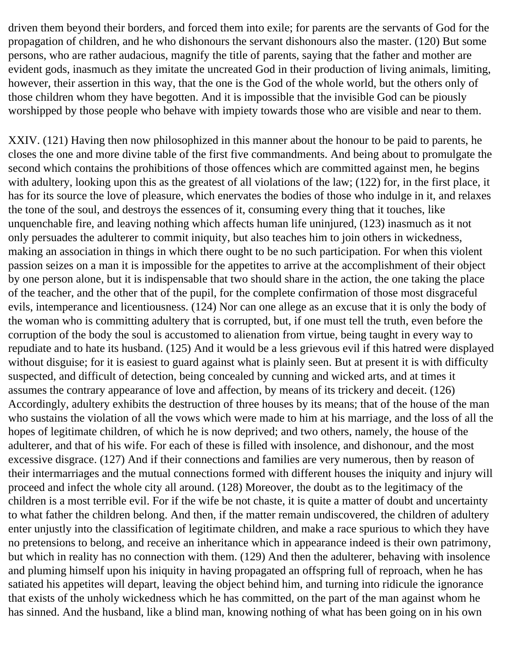driven them beyond their borders, and forced them into exile; for parents are the servants of God for the propagation of children, and he who dishonours the servant dishonours also the master. (120) But some persons, who are rather audacious, magnify the title of parents, saying that the father and mother are evident gods, inasmuch as they imitate the uncreated God in their production of living animals, limiting, however, their assertion in this way, that the one is the God of the whole world, but the others only of those children whom they have begotten. And it is impossible that the invisible God can be piously worshipped by those people who behave with impiety towards those who are visible and near to them.

XXIV. (121) Having then now philosophized in this manner about the honour to be paid to parents, he closes the one and more divine table of the first five commandments. And being about to promulgate the second which contains the prohibitions of those offences which are committed against men, he begins with adultery, looking upon this as the greatest of all violations of the law; (122) for, in the first place, it has for its source the love of pleasure, which enervates the bodies of those who indulge in it, and relaxes the tone of the soul, and destroys the essences of it, consuming every thing that it touches, like unquenchable fire, and leaving nothing which affects human life uninjured, (123) inasmuch as it not only persuades the adulterer to commit iniquity, but also teaches him to join others in wickedness, making an association in things in which there ought to be no such participation. For when this violent passion seizes on a man it is impossible for the appetites to arrive at the accomplishment of their object by one person alone, but it is indispensable that two should share in the action, the one taking the place of the teacher, and the other that of the pupil, for the complete confirmation of those most disgraceful evils, intemperance and licentiousness. (124) Nor can one allege as an excuse that it is only the body of the woman who is committing adultery that is corrupted, but, if one must tell the truth, even before the corruption of the body the soul is accustomed to alienation from virtue, being taught in every way to repudiate and to hate its husband. (125) And it would be a less grievous evil if this hatred were displayed without disguise; for it is easiest to guard against what is plainly seen. But at present it is with difficulty suspected, and difficult of detection, being concealed by cunning and wicked arts, and at times it assumes the contrary appearance of love and affection, by means of its trickery and deceit. (126) Accordingly, adultery exhibits the destruction of three houses by its means; that of the house of the man who sustains the violation of all the vows which were made to him at his marriage, and the loss of all the hopes of legitimate children, of which he is now deprived; and two others, namely, the house of the adulterer, and that of his wife. For each of these is filled with insolence, and dishonour, and the most excessive disgrace. (127) And if their connections and families are very numerous, then by reason of their intermarriages and the mutual connections formed with different houses the iniquity and injury will proceed and infect the whole city all around. (128) Moreover, the doubt as to the legitimacy of the children is a most terrible evil. For if the wife be not chaste, it is quite a matter of doubt and uncertainty to what father the children belong. And then, if the matter remain undiscovered, the children of adultery enter unjustly into the classification of legitimate children, and make a race spurious to which they have no pretensions to belong, and receive an inheritance which in appearance indeed is their own patrimony, but which in reality has no connection with them. (129) And then the adulterer, behaving with insolence and pluming himself upon his iniquity in having propagated an offspring full of reproach, when he has satiated his appetites will depart, leaving the object behind him, and turning into ridicule the ignorance that exists of the unholy wickedness which he has committed, on the part of the man against whom he has sinned. And the husband, like a blind man, knowing nothing of what has been going on in his own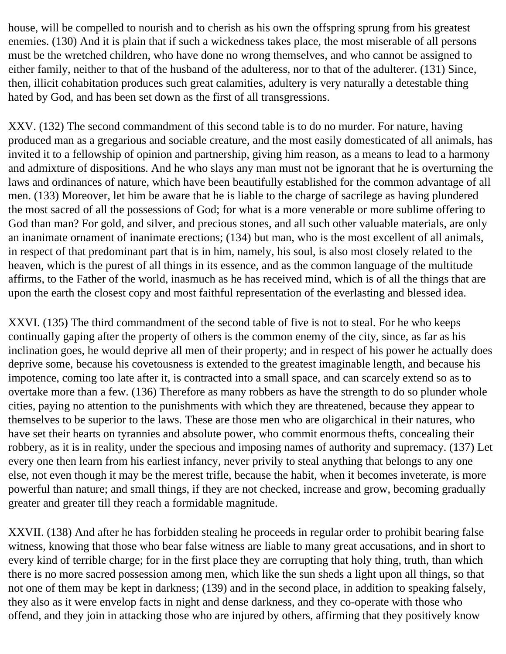house, will be compelled to nourish and to cherish as his own the offspring sprung from his greatest enemies. (130) And it is plain that if such a wickedness takes place, the most miserable of all persons must be the wretched children, who have done no wrong themselves, and who cannot be assigned to either family, neither to that of the husband of the adulteress, nor to that of the adulterer. (131) Since, then, illicit cohabitation produces such great calamities, adultery is very naturally a detestable thing hated by God, and has been set down as the first of all transgressions.

XXV. (132) The second commandment of this second table is to do no murder. For nature, having produced man as a gregarious and sociable creature, and the most easily domesticated of all animals, has invited it to a fellowship of opinion and partnership, giving him reason, as a means to lead to a harmony and admixture of dispositions. And he who slays any man must not be ignorant that he is overturning the laws and ordinances of nature, which have been beautifully established for the common advantage of all men. (133) Moreover, let him be aware that he is liable to the charge of sacrilege as having plundered the most sacred of all the possessions of God; for what is a more venerable or more sublime offering to God than man? For gold, and silver, and precious stones, and all such other valuable materials, are only an inanimate ornament of inanimate erections; (134) but man, who is the most excellent of all animals, in respect of that predominant part that is in him, namely, his soul, is also most closely related to the heaven, which is the purest of all things in its essence, and as the common language of the multitude affirms, to the Father of the world, inasmuch as he has received mind, which is of all the things that are upon the earth the closest copy and most faithful representation of the everlasting and blessed idea.

XXVI. (135) The third commandment of the second table of five is not to steal. For he who keeps continually gaping after the property of others is the common enemy of the city, since, as far as his inclination goes, he would deprive all men of their property; and in respect of his power he actually does deprive some, because his covetousness is extended to the greatest imaginable length, and because his impotence, coming too late after it, is contracted into a small space, and can scarcely extend so as to overtake more than a few. (136) Therefore as many robbers as have the strength to do so plunder whole cities, paying no attention to the punishments with which they are threatened, because they appear to themselves to be superior to the laws. These are those men who are oligarchical in their natures, who have set their hearts on tyrannies and absolute power, who commit enormous thefts, concealing their robbery, as it is in reality, under the specious and imposing names of authority and supremacy. (137) Let every one then learn from his earliest infancy, never privily to steal anything that belongs to any one else, not even though it may be the merest trifle, because the habit, when it becomes inveterate, is more powerful than nature; and small things, if they are not checked, increase and grow, becoming gradually greater and greater till they reach a formidable magnitude.

XXVII. (138) And after he has forbidden stealing he proceeds in regular order to prohibit bearing false witness, knowing that those who bear false witness are liable to many great accusations, and in short to every kind of terrible charge; for in the first place they are corrupting that holy thing, truth, than which there is no more sacred possession among men, which like the sun sheds a light upon all things, so that not one of them may be kept in darkness; (139) and in the second place, in addition to speaking falsely, they also as it were envelop facts in night and dense darkness, and they co-operate with those who offend, and they join in attacking those who are injured by others, affirming that they positively know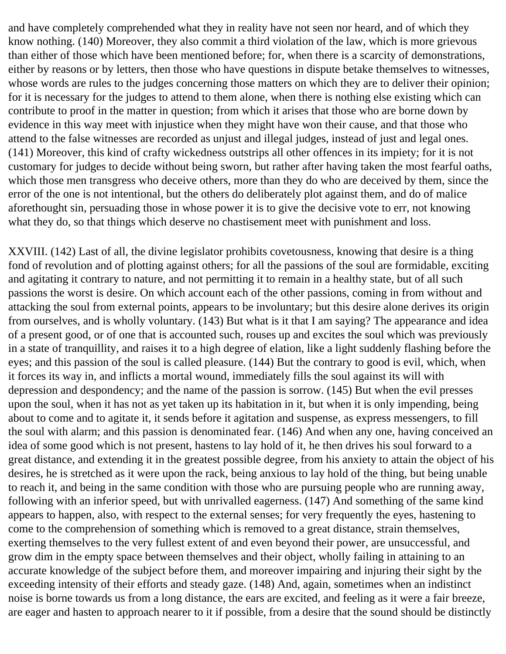and have completely comprehended what they in reality have not seen nor heard, and of which they know nothing. (140) Moreover, they also commit a third violation of the law, which is more grievous than either of those which have been mentioned before; for, when there is a scarcity of demonstrations, either by reasons or by letters, then those who have questions in dispute betake themselves to witnesses, whose words are rules to the judges concerning those matters on which they are to deliver their opinion; for it is necessary for the judges to attend to them alone, when there is nothing else existing which can contribute to proof in the matter in question; from which it arises that those who are borne down by evidence in this way meet with injustice when they might have won their cause, and that those who attend to the false witnesses are recorded as unjust and illegal judges, instead of just and legal ones. (141) Moreover, this kind of crafty wickedness outstrips all other offences in its impiety; for it is not customary for judges to decide without being sworn, but rather after having taken the most fearful oaths, which those men transgress who deceive others, more than they do who are deceived by them, since the error of the one is not intentional, but the others do deliberately plot against them, and do of malice aforethought sin, persuading those in whose power it is to give the decisive vote to err, not knowing what they do, so that things which deserve no chastisement meet with punishment and loss.

XXVIII. (142) Last of all, the divine legislator prohibits covetousness, knowing that desire is a thing fond of revolution and of plotting against others; for all the passions of the soul are formidable, exciting and agitating it contrary to nature, and not permitting it to remain in a healthy state, but of all such passions the worst is desire. On which account each of the other passions, coming in from without and attacking the soul from external points, appears to be involuntary; but this desire alone derives its origin from ourselves, and is wholly voluntary. (143) But what is it that I am saying? The appearance and idea of a present good, or of one that is accounted such, rouses up and excites the soul which was previously in a state of tranquillity, and raises it to a high degree of elation, like a light suddenly flashing before the eyes; and this passion of the soul is called pleasure. (144) But the contrary to good is evil, which, when it forces its way in, and inflicts a mortal wound, immediately fills the soul against its will with depression and despondency; and the name of the passion is sorrow. (145) But when the evil presses upon the soul, when it has not as yet taken up its habitation in it, but when it is only impending, being about to come and to agitate it, it sends before it agitation and suspense, as express messengers, to fill the soul with alarm; and this passion is denominated fear. (146) And when any one, having conceived an idea of some good which is not present, hastens to lay hold of it, he then drives his soul forward to a great distance, and extending it in the greatest possible degree, from his anxiety to attain the object of his desires, he is stretched as it were upon the rack, being anxious to lay hold of the thing, but being unable to reach it, and being in the same condition with those who are pursuing people who are running away, following with an inferior speed, but with unrivalled eagerness. (147) And something of the same kind appears to happen, also, with respect to the external senses; for very frequently the eyes, hastening to come to the comprehension of something which is removed to a great distance, strain themselves, exerting themselves to the very fullest extent of and even beyond their power, are unsuccessful, and grow dim in the empty space between themselves and their object, wholly failing in attaining to an accurate knowledge of the subject before them, and moreover impairing and injuring their sight by the exceeding intensity of their efforts and steady gaze. (148) And, again, sometimes when an indistinct noise is borne towards us from a long distance, the ears are excited, and feeling as it were a fair breeze, are eager and hasten to approach nearer to it if possible, from a desire that the sound should be distinctly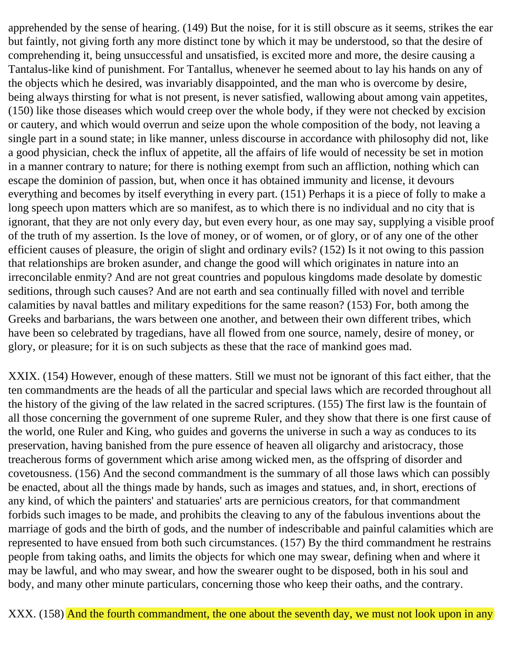apprehended by the sense of hearing. (149) But the noise, for it is still obscure as it seems, strikes the ear but faintly, not giving forth any more distinct tone by which it may be understood, so that the desire of comprehending it, being unsuccessful and unsatisfied, is excited more and more, the desire causing a Tantalus-like kind of punishment. For Tantallus, whenever he seemed about to lay his hands on any of the objects which he desired, was invariably disappointed, and the man who is overcome by desire, being always thirsting for what is not present, is never satisfied, wallowing about among vain appetites, (150) like those diseases which would creep over the whole body, if they were not checked by excision or cautery, and which would overrun and seize upon the whole composition of the body, not leaving a single part in a sound state; in like manner, unless discourse in accordance with philosophy did not, like a good physician, check the influx of appetite, all the affairs of life would of necessity be set in motion in a manner contrary to nature; for there is nothing exempt from such an affliction, nothing which can escape the dominion of passion, but, when once it has obtained immunity and license, it devours everything and becomes by itself everything in every part. (151) Perhaps it is a piece of folly to make a long speech upon matters which are so manifest, as to which there is no individual and no city that is ignorant, that they are not only every day, but even every hour, as one may say, supplying a visible proof of the truth of my assertion. Is the love of money, or of women, or of glory, or of any one of the other efficient causes of pleasure, the origin of slight and ordinary evils? (152) Is it not owing to this passion that relationships are broken asunder, and change the good will which originates in nature into an irreconcilable enmity? And are not great countries and populous kingdoms made desolate by domestic seditions, through such causes? And are not earth and sea continually filled with novel and terrible calamities by naval battles and military expeditions for the same reason? (153) For, both among the Greeks and barbarians, the wars between one another, and between their own different tribes, which have been so celebrated by tragedians, have all flowed from one source, namely, desire of money, or glory, or pleasure; for it is on such subjects as these that the race of mankind goes mad.

XXIX. (154) However, enough of these matters. Still we must not be ignorant of this fact either, that the ten commandments are the heads of all the particular and special laws which are recorded throughout all the history of the giving of the law related in the sacred scriptures. (155) The first law is the fountain of all those concerning the government of one supreme Ruler, and they show that there is one first cause of the world, one Ruler and King, who guides and governs the universe in such a way as conduces to its preservation, having banished from the pure essence of heaven all oligarchy and aristocracy, those treacherous forms of government which arise among wicked men, as the offspring of disorder and covetousness. (156) And the second commandment is the summary of all those laws which can possibly be enacted, about all the things made by hands, such as images and statues, and, in short, erections of any kind, of which the painters' and statuaries' arts are pernicious creators, for that commandment forbids such images to be made, and prohibits the cleaving to any of the fabulous inventions about the marriage of gods and the birth of gods, and the number of indescribable and painful calamities which are represented to have ensued from both such circumstances. (157) By the third commandment he restrains people from taking oaths, and limits the objects for which one may swear, defining when and where it may be lawful, and who may swear, and how the swearer ought to be disposed, both in his soul and body, and many other minute particulars, concerning those who keep their oaths, and the contrary.

XXX. (158) And the fourth commandment, the one about the seventh day, we must not look upon in any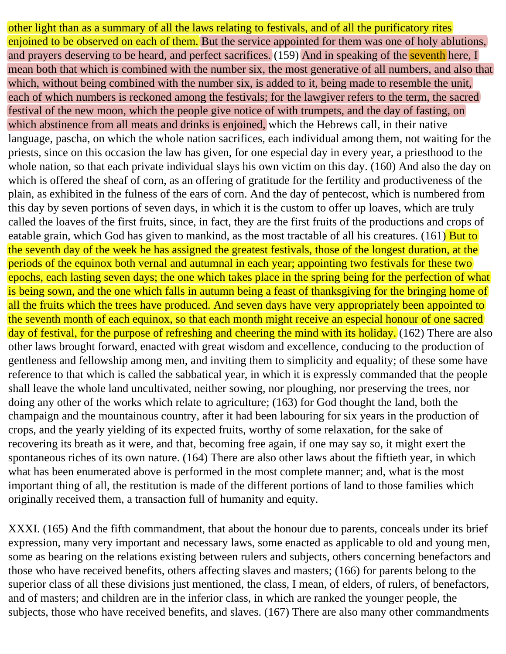other light than as a summary of all the laws relating to festivals, and of all the purificatory rites enjoined to be observed on each of them. But the service appointed for them was one of holy ablutions, and prayers deserving to be heard, and perfect sacrifices. (159) And in speaking of the seventh here, I mean both that which is combined with the number six, the most generative of all numbers, and also that which, without being combined with the number six, is added to it, being made to resemble the unit, each of which numbers is reckoned among the festivals; for the lawgiver refers to the term, the sacred festival of the new moon, which the people give notice of with trumpets, and the day of fasting, on which abstinence from all meats and drinks is enjoined, which the Hebrews call, in their native language, pascha, on which the whole nation sacrifices, each individual among them, not waiting for the priests, since on this occasion the law has given, for one especial day in every year, a priesthood to the whole nation, so that each private individual slays his own victim on this day. (160) And also the day on which is offered the sheaf of corn, as an offering of gratitude for the fertility and productiveness of the plain, as exhibited in the fulness of the ears of corn. And the day of pentecost, which is numbered from this day by seven portions of seven days, in which it is the custom to offer up loaves, which are truly called the loaves of the first fruits, since, in fact, they are the first fruits of the productions and crops of eatable grain, which God has given to mankind, as the most tractable of all his creatures. (161) But to the seventh day of the week he has assigned the greatest festivals, those of the longest duration, at the periods of the equinox both vernal and autumnal in each year; appointing two festivals for these two epochs, each lasting seven days; the one which takes place in the spring being for the perfection of what is being sown, and the one which falls in autumn being a feast of thanksgiving for the bringing home of all the fruits which the trees have produced. And seven days have very appropriately been appointed to the seventh month of each equinox, so that each month might receive an especial honour of one sacred day of festival, for the purpose of refreshing and cheering the mind with its holiday. (162) There are also other laws brought forward, enacted with great wisdom and excellence, conducing to the production of gentleness and fellowship among men, and inviting them to simplicity and equality; of these some have reference to that which is called the sabbatical year, in which it is expressly commanded that the people shall leave the whole land uncultivated, neither sowing, nor ploughing, nor preserving the trees, nor doing any other of the works which relate to agriculture; (163) for God thought the land, both the champaign and the mountainous country, after it had been labouring for six years in the production of crops, and the yearly yielding of its expected fruits, worthy of some relaxation, for the sake of recovering its breath as it were, and that, becoming free again, if one may say so, it might exert the spontaneous riches of its own nature. (164) There are also other laws about the fiftieth year, in which what has been enumerated above is performed in the most complete manner; and, what is the most important thing of all, the restitution is made of the different portions of land to those families which originally received them, a transaction full of humanity and equity.

XXXI. (165) And the fifth commandment, that about the honour due to parents, conceals under its brief expression, many very important and necessary laws, some enacted as applicable to old and young men, some as bearing on the relations existing between rulers and subjects, others concerning benefactors and those who have received benefits, others affecting slaves and masters; (166) for parents belong to the superior class of all these divisions just mentioned, the class, I mean, of elders, of rulers, of benefactors, and of masters; and children are in the inferior class, in which are ranked the younger people, the subjects, those who have received benefits, and slaves. (167) There are also many other commandments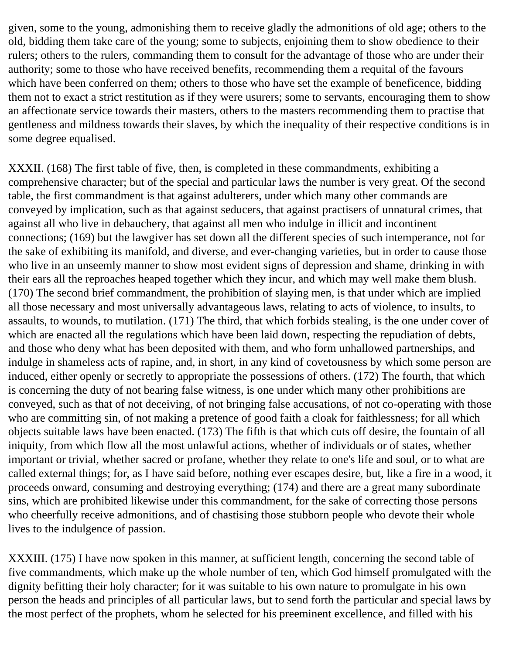given, some to the young, admonishing them to receive gladly the admonitions of old age; others to the old, bidding them take care of the young; some to subjects, enjoining them to show obedience to their rulers; others to the rulers, commanding them to consult for the advantage of those who are under their authority; some to those who have received benefits, recommending them a requital of the favours which have been conferred on them; others to those who have set the example of beneficence, bidding them not to exact a strict restitution as if they were usurers; some to servants, encouraging them to show an affectionate service towards their masters, others to the masters recommending them to practise that gentleness and mildness towards their slaves, by which the inequality of their respective conditions is in some degree equalised.

XXXII. (168) The first table of five, then, is completed in these commandments, exhibiting a comprehensive character; but of the special and particular laws the number is very great. Of the second table, the first commandment is that against adulterers, under which many other commands are conveyed by implication, such as that against seducers, that against practisers of unnatural crimes, that against all who live in debauchery, that against all men who indulge in illicit and incontinent connections; (169) but the lawgiver has set down all the different species of such intemperance, not for the sake of exhibiting its manifold, and diverse, and ever-changing varieties, but in order to cause those who live in an unseemly manner to show most evident signs of depression and shame, drinking in with their ears all the reproaches heaped together which they incur, and which may well make them blush. (170) The second brief commandment, the prohibition of slaying men, is that under which are implied all those necessary and most universally advantageous laws, relating to acts of violence, to insults, to assaults, to wounds, to mutilation. (171) The third, that which forbids stealing, is the one under cover of which are enacted all the regulations which have been laid down, respecting the repudiation of debts, and those who deny what has been deposited with them, and who form unhallowed partnerships, and indulge in shameless acts of rapine, and, in short, in any kind of covetousness by which some person are induced, either openly or secretly to appropriate the possessions of others. (172) The fourth, that which is concerning the duty of not bearing false witness, is one under which many other prohibitions are conveyed, such as that of not deceiving, of not bringing false accusations, of not co-operating with those who are committing sin, of not making a pretence of good faith a cloak for faithlessness; for all which objects suitable laws have been enacted. (173) The fifth is that which cuts off desire, the fountain of all iniquity, from which flow all the most unlawful actions, whether of individuals or of states, whether important or trivial, whether sacred or profane, whether they relate to one's life and soul, or to what are called external things; for, as I have said before, nothing ever escapes desire, but, like a fire in a wood, it proceeds onward, consuming and destroying everything; (174) and there are a great many subordinate sins, which are prohibited likewise under this commandment, for the sake of correcting those persons who cheerfully receive admonitions, and of chastising those stubborn people who devote their whole lives to the indulgence of passion.

XXXIII. (175) I have now spoken in this manner, at sufficient length, concerning the second table of five commandments, which make up the whole number of ten, which God himself promulgated with the dignity befitting their holy character; for it was suitable to his own nature to promulgate in his own person the heads and principles of all particular laws, but to send forth the particular and special laws by the most perfect of the prophets, whom he selected for his preeminent excellence, and filled with his